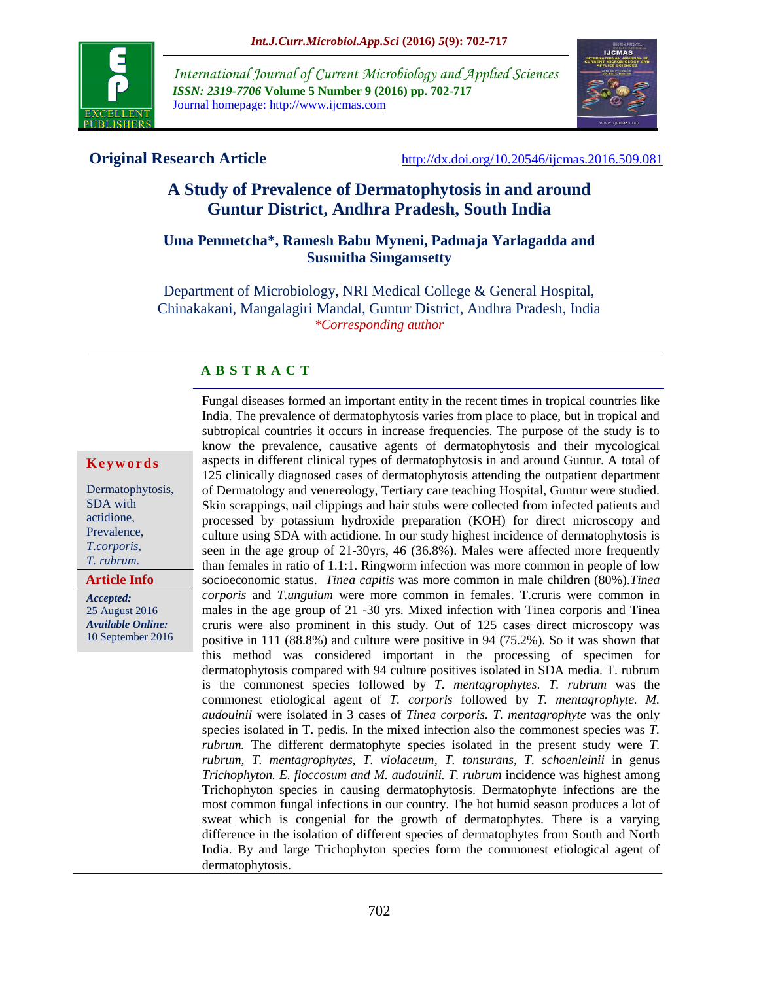

*International Journal of Current Microbiology and Applied Sciences ISSN: 2319-7706* **Volume 5 Number 9 (2016) pp. 702-717** Journal homepage: http://www.ijcmas.com



**Original Research Article** <http://dx.doi.org/10.20546/ijcmas.2016.509.081>

# **A Study of Prevalence of Dermatophytosis in and around Guntur District, Andhra Pradesh, South India**

#### **Uma Penmetcha\*, Ramesh Babu Myneni, Padmaja Yarlagadda and Susmitha Simgamsetty**

Department of Microbiology, NRI Medical College & General Hospital, Chinakakani, Mangalagiri Mandal, Guntur District, Andhra Pradesh, India *\*Corresponding author*

#### **A B S T R A C T**

#### **K e y w o r d s**

Dermatophytosis, SDA with actidione, Prevalence, *T.corporis, T. rubrum.* 

#### **Article Info**

*Accepted:*  25 August 2016 *Available Online:* 10 September 2016 Fungal diseases formed an important entity in the recent times in tropical countries like India. The prevalence of dermatophytosis varies from place to place, but in tropical and subtropical countries it occurs in increase frequencies. The purpose of the study is to know the prevalence, causative agents of dermatophytosis and their mycological aspects in different clinical types of dermatophytosis in and around Guntur. A total of 125 clinically diagnosed cases of dermatophytosis attending the outpatient department of Dermatology and venereology, Tertiary care teaching Hospital, Guntur were studied. Skin scrappings, nail clippings and hair stubs were collected from infected patients and processed by potassium hydroxide preparation (KOH) for direct microscopy and culture using SDA with actidione. In our study highest incidence of dermatophytosis is seen in the age group of 21-30yrs, 46 (36.8%). Males were affected more frequently than females in ratio of 1.1:1. Ringworm infection was more common in people of low socioeconomic status. *Tinea capitis* was more common in male children (80%).*Tinea corporis* and *T.unguium* were more common in females. T.cruris were common in males in the age group of 21 -30 yrs. Mixed infection with Tinea corporis and Tinea cruris were also prominent in this study. Out of 125 cases direct microscopy was positive in 111 (88.8%) and culture were positive in 94 (75.2%). So it was shown that this method was considered important in the processing of specimen for dermatophytosis compared with 94 culture positives isolated in SDA media. T. rubrum is the commonest species followed by *T. mentagrophytes*. *T. rubrum* was the commonest etiological agent of *T. corporis* followed by *T. mentagrophyte. M. audouinii* were isolated in 3 cases of *Tinea corporis. T. mentagrophyte* was the only species isolated in T. pedis. In the mixed infection also the commonest species was *T. rubrum.* The different dermatophyte species isolated in the present study were *T. rubrum, T. mentagrophytes, T. violaceum, T. tonsurans, T. schoenleinii* in genus *Trichophyton. E. floccosum and M. audouinii. T. rubrum* incidence was highest among Trichophyton species in causing dermatophytosis. Dermatophyte infections are the most common fungal infections in our country. The hot humid season produces a lot of sweat which is congenial for the growth of dermatophytes. There is a varying difference in the isolation of different species of dermatophytes from South and North India. By and large Trichophyton species form the commonest etiological agent of dermatophytosis.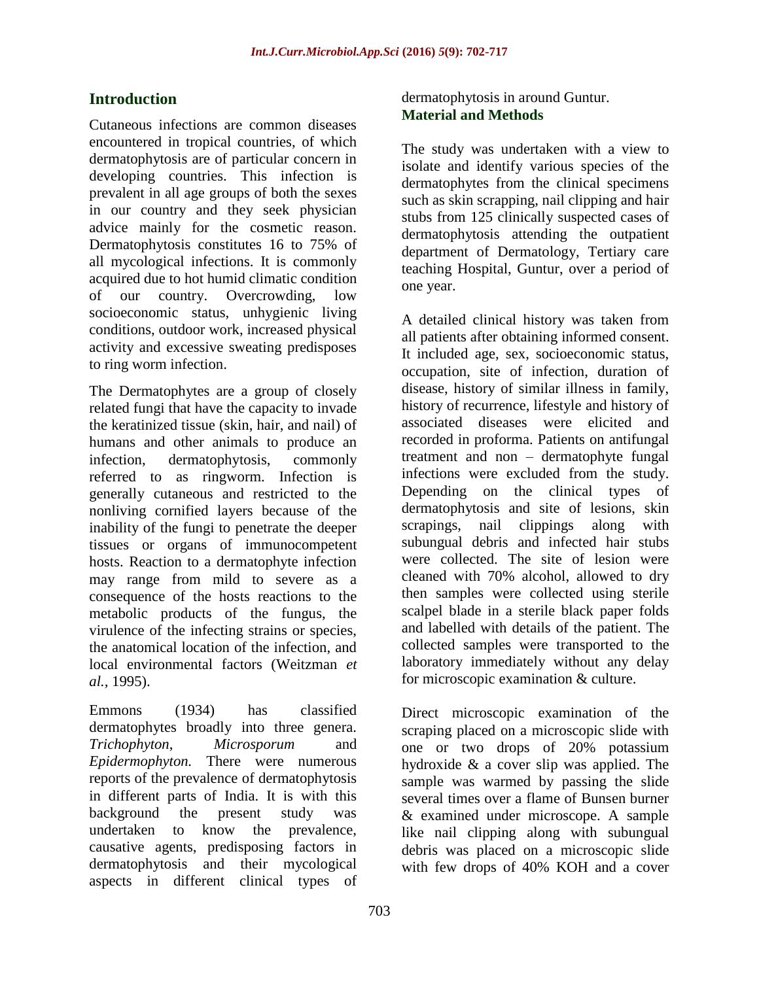# **Introduction**

Cutaneous infections are common diseases encountered in tropical countries, of which dermatophytosis are of particular concern in developing countries. This infection is prevalent in all age groups of both the sexes in our country and they seek physician advice mainly for the cosmetic reason. Dermatophytosis constitutes 16 to 75% of all mycological infections. It is commonly acquired due to hot humid climatic condition of our country. Overcrowding, low socioeconomic status, unhygienic living conditions, outdoor work, increased physical activity and excessive sweating predisposes to ring worm infection.

The Dermatophytes are a group of closely related fungi that have the capacity to invade the keratinized tissue (skin, hair, and nail) of humans and other animals to produce an infection, dermatophytosis, commonly referred to as ringworm. Infection is generally cutaneous and restricted to the nonliving cornified layers because of the inability of the fungi to penetrate the deeper tissues or organs of immunocompetent hosts. Reaction to a dermatophyte infection may range from mild to severe as a consequence of the hosts reactions to the metabolic products of the fungus, the virulence of the infecting strains or species, the anatomical location of the infection, and local environmental factors (Weitzman *et al.,* 1995).

Emmons (1934) has classified dermatophytes broadly into three genera. *Trichophyton*, *Microsporum* and *Epidermophyton.* There were numerous reports of the prevalence of dermatophytosis in different parts of India. It is with this background the present study was undertaken to know the prevalence, causative agents, predisposing factors in dermatophytosis and their mycological aspects in different clinical types of

### dermatophytosis in around Guntur. **Material and Methods**

The study was undertaken with a view to isolate and identify various species of the dermatophytes from the clinical specimens such as skin scrapping, nail clipping and hair stubs from 125 clinically suspected cases of dermatophytosis attending the outpatient department of Dermatology, Tertiary care teaching Hospital, Guntur, over a period of one year.

A detailed clinical history was taken from all patients after obtaining informed consent. It included age, sex, socioeconomic status, occupation, site of infection, duration of disease, history of similar illness in family, history of recurrence, lifestyle and history of associated diseases were elicited and recorded in proforma. Patients on antifungal treatment and non – dermatophyte fungal infections were excluded from the study. Depending on the clinical types of dermatophytosis and site of lesions, skin scrapings, nail clippings along with subungual debris and infected hair stubs were collected. The site of lesion were cleaned with 70% alcohol, allowed to dry then samples were collected using sterile scalpel blade in a sterile black paper folds and labelled with details of the patient. The collected samples were transported to the laboratory immediately without any delay for microscopic examination & culture.

Direct microscopic examination of the scraping placed on a microscopic slide with one or two drops of 20% potassium hydroxide  $\&$  a cover slip was applied. The sample was warmed by passing the slide several times over a flame of Bunsen burner & examined under microscope. A sample like nail clipping along with subungual debris was placed on a microscopic slide with few drops of 40% KOH and a cover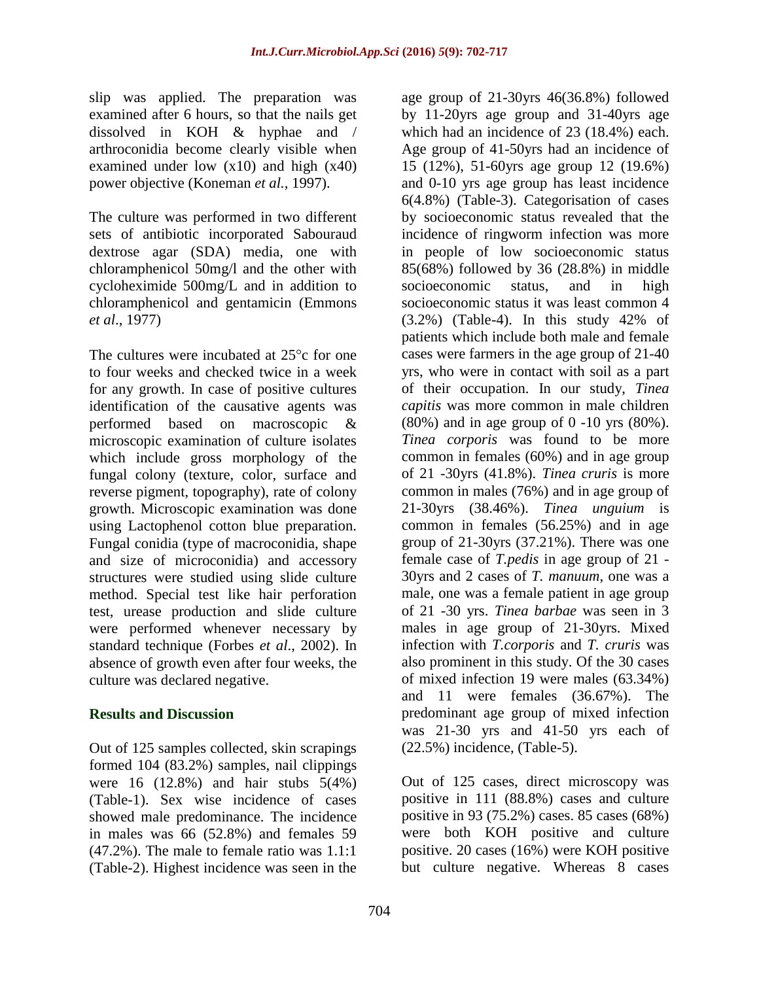slip was applied. The preparation was examined after 6 hours, so that the nails get dissolved in KOH & hyphae and / arthroconidia become clearly visible when examined under low  $(x10)$  and high  $(x40)$ power objective (Koneman *et al.,* 1997).

The culture was performed in two different sets of antibiotic incorporated Sabouraud dextrose agar (SDA) media, one with chloramphenicol 50mg/l and the other with cycloheximide 500mg/L and in addition to chloramphenicol and gentamicin (Emmons *et al*., 1977)

The cultures were incubated at  $25^{\circ}$ c for one to four weeks and checked twice in a week for any growth. In case of positive cultures identification of the causative agents was performed based on macroscopic & microscopic examination of culture isolates which include gross morphology of the fungal colony (texture, color, surface and reverse pigment, topography), rate of colony growth. Microscopic examination was done using Lactophenol cotton blue preparation. Fungal conidia (type of macroconidia, shape and size of microconidia) and accessory structures were studied using slide culture method. Special test like hair perforation test, urease production and slide culture were performed whenever necessary by standard technique (Forbes *et al*., 2002). In absence of growth even after four weeks, the culture was declared negative.

### **Results and Discussion**

Out of 125 samples collected, skin scrapings formed 104 (83.2%) samples, nail clippings were 16 (12.8%) and hair stubs 5(4%) (Table-1). Sex wise incidence of cases showed male predominance. The incidence in males was 66 (52.8%) and females 59 (47.2%). The male to female ratio was 1.1:1 (Table-2). Highest incidence was seen in the

age group of 21-30yrs 46(36.8%) followed by 11-20yrs age group and 31-40yrs age which had an incidence of 23 (18.4%) each. Age group of 41-50yrs had an incidence of 15 (12%), 51-60yrs age group 12 (19.6%) and 0-10 yrs age group has least incidence 6(4.8%) (Table-3). Categorisation of cases by socioeconomic status revealed that the incidence of ringworm infection was more in people of low socioeconomic status 85(68%) followed by 36 (28.8%) in middle socioeconomic status, and in high socioeconomic status it was least common 4 (3.2%) (Table-4). In this study 42% of patients which include both male and female cases were farmers in the age group of 21-40 yrs, who were in contact with soil as a part of their occupation. In our study, *Tinea capitis* was more common in male children (80%) and in age group of 0 -10 yrs (80%). *Tinea corporis* was found to be more common in females (60%) and in age group of 21 -30yrs (41.8%). *Tinea cruris* is more common in males (76%) and in age group of 21-30yrs (38.46%). *Tinea unguium* is common in females (56.25%) and in age group of 21-30yrs (37.21%). There was one female case of *T.pedis* in age group of 21 - 30yrs and 2 cases of *T. manuum*, one was a male, one was a female patient in age group of 21 -30 yrs. *Tinea barbae* was seen in 3 males in age group of 21-30yrs. Mixed infection with *T.corporis* and *T. cruris* was also prominent in this study. Of the 30 cases of mixed infection 19 were males (63.34%) and 11 were females (36.67%). The predominant age group of mixed infection was 21-30 yrs and 41-50 yrs each of (22.5%) incidence, (Table-5).

Out of 125 cases, direct microscopy was positive in 111 (88.8%) cases and culture positive in 93 (75.2%) cases. 85 cases (68%) were both KOH positive and culture positive. 20 cases (16%) were KOH positive but culture negative. Whereas 8 cases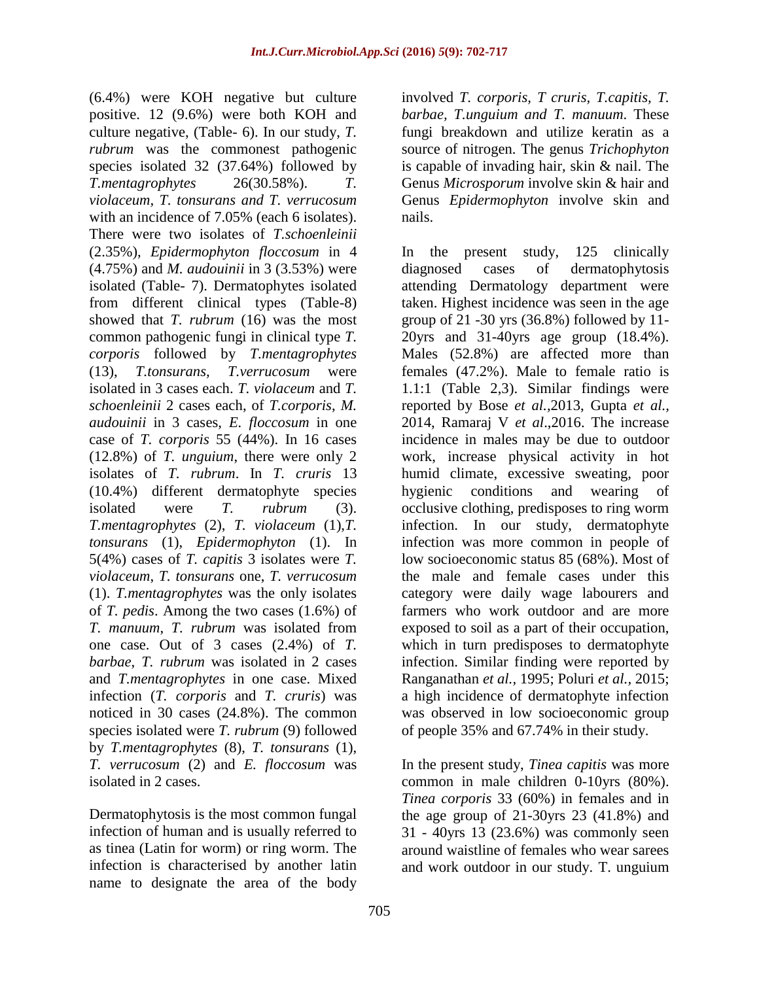(6.4%) were KOH negative but culture positive. 12 (9.6%) were both KOH and culture negative, (Table- 6). In our study, *T. rubrum* was the commonest pathogenic species isolated 32 (37.64%) followed by *T.mentagrophytes* 26(30.58%). *T. violaceum, T. tonsurans and T. verrucosum* with an incidence of 7.05% (each 6 isolates). There were two isolates of *T.schoenleinii* (2.35%), *Epidermophyton floccosum* in 4 (4.75%) and *M. audouinii* in 3 (3.53%) were isolated (Table- 7). Dermatophytes isolated from different clinical types (Table-8) showed that *T. rubrum* (16) was the most common pathogenic fungi in clinical type *T. corporis* followed by *T.mentagrophytes* (13), *T.tonsurans, T.verrucosum* were isolated in 3 cases each. *T. violaceum* and *T. schoenleinii* 2 cases each, of *T.corporis*, *M. audouinii* in 3 cases, *E. floccosum* in one case of *T. corporis* 55 (44%). In 16 cases (12.8%) of *T. unguium*, there were only 2 isolates of *T. rubrum*. In *T. cruris* 13 (10.4%) different dermatophyte species isolated were *T. rubrum* (3). *T.mentagrophytes* (2), *T. violaceum* (1),*T. tonsurans* (1), *Epidermophyton* (1). In 5(4%) cases of *T. capitis* 3 isolates were *T. violaceum*, *T. tonsurans* one, *T. verrucosum* (1). *T.mentagrophytes* was the only isolates of *T. pedis*. Among the two cases (1.6%) of *T. manuum*, *T. rubrum* was isolated from one case. Out of 3 cases (2.4%) of *T. barbae*, *T. rubrum* was isolated in 2 cases and *T.mentagrophytes* in one case. Mixed infection (*T. corporis* and *T. cruris*) was noticed in 30 cases (24.8%). The common species isolated were *T. rubrum* (9) followed by *T.mentagrophytes* (8), *T. tonsurans* (1), *T. verrucosum* (2) and *E. floccosum* was isolated in 2 cases.

Dermatophytosis is the most common fungal infection of human and is usually referred to as tinea (Latin for worm) or ring worm. The infection is characterised by another latin name to designate the area of the body involved *T. corporis, T cruris, T.capitis, T. barbae, T.unguium and T. manuum*. These fungi breakdown and utilize keratin as a source of nitrogen. The genus *Trichophyton* is capable of invading hair, skin & nail. The Genus *Microsporum* involve skin & hair and Genus *Epidermophyton* involve skin and nails.

In the present study, 125 clinically diagnosed cases of dermatophytosis attending Dermatology department were taken. Highest incidence was seen in the age group of 21 -30 yrs (36.8%) followed by 11- 20yrs and 31-40yrs age group (18.4%). Males (52.8%) are affected more than females (47.2%). Male to female ratio is 1.1:1 (Table 2,3). Similar findings were reported by Bose *et al.,*2013, Gupta *et al.,* 2014, Ramaraj V *et al*.,2016. The increase incidence in males may be due to outdoor work, increase physical activity in hot humid climate, excessive sweating, poor hygienic conditions and wearing of occlusive clothing, predisposes to ring worm infection. In our study, dermatophyte infection was more common in people of low socioeconomic status 85 (68%). Most of the male and female cases under this category were daily wage labourers and farmers who work outdoor and are more exposed to soil as a part of their occupation, which in turn predisposes to dermatophyte infection. Similar finding were reported by Ranganathan *et al.,* 1995; Poluri *et al.,* 2015; a high incidence of dermatophyte infection was observed in low socioeconomic group of people 35% and 67.74% in their study.

In the present study, *Tinea capitis* was more common in male children 0-10yrs (80%). *Tinea corporis* 33 (60%) in females and in the age group of  $21-30$ yrs  $23$   $(41.8%)$  and 31 - 40yrs 13 (23.6%) was commonly seen around waistline of females who wear sarees and work outdoor in our study. T. unguium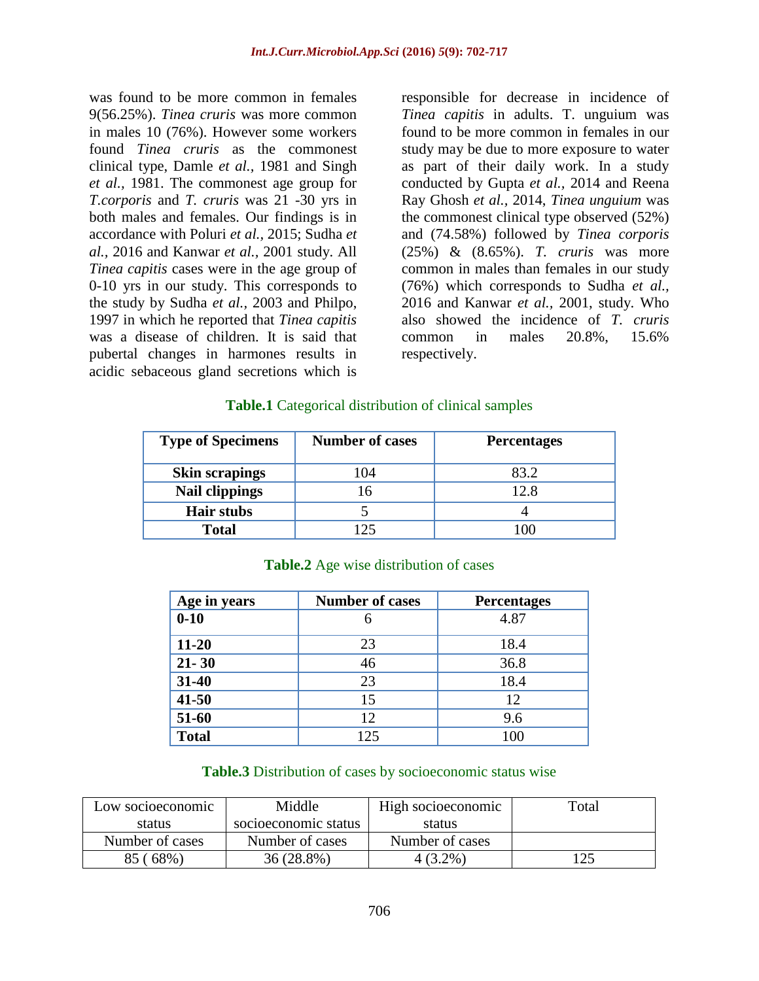was found to be more common in females 9(56.25%). *Tinea cruris* was more common in males 10 (76%). However some workers found *Tinea cruris* as the commonest clinical type, Damle *et al.,* 1981 and Singh *et al.,* 1981. The commonest age group for *T.corporis* and *T. cruris* was 21 -30 yrs in both males and females. Our findings is in accordance with Poluri *et al.,* 2015; Sudha *et al.,* 2016 and Kanwar *et al.,* 2001 study. All *Tinea capitis* cases were in the age group of 0-10 yrs in our study. This corresponds to the study by Sudha *et al.,* 2003 and Philpo, 1997 in which he reported that *Tinea capitis* was a disease of children. It is said that pubertal changes in harmones results in acidic sebaceous gland secretions which is

responsible for decrease in incidence of *Tinea capitis* in adults. T. unguium was found to be more common in females in our study may be due to more exposure to water as part of their daily work. In a study conducted by Gupta *et al.,* 2014 and Reena Ray Ghosh *et al.,* 2014, *Tinea unguium* was the commonest clinical type observed (52%) and (74.58%) followed by *Tinea corporis* (25%) & (8.65%). *T. cruris* was more common in males than females in our study (76%) which corresponds to Sudha *et al.,* 2016 and Kanwar *et al.,* 2001, study. Who also showed the incidence of *T. cruris* common in males 20.8%, 15.6% respectively.

#### **Table.1** Categorical distribution of clinical samples

| <b>Type of Specimens</b> | <b>Number of cases</b> | <b>Percentages</b> |  |  |  |
|--------------------------|------------------------|--------------------|--|--|--|
| <b>Skin scrapings</b>    | 104                    | 83 2               |  |  |  |
| <b>Nail clippings</b>    |                        | 12.8               |  |  |  |
| <b>Hair stubs</b>        |                        |                    |  |  |  |
| <b>Total</b>             |                        |                    |  |  |  |

| Age in years | <b>Number of cases</b> | <b>Percentages</b> |
|--------------|------------------------|--------------------|
| $0 - 10$     |                        | 4.87               |
| $11 - 20$    | 23                     | 18.4               |
| $21 - 30$    | 46                     | 36.8               |
| 31-40        | 23                     | 18.4               |
| $41 - 50$    | 15                     | 12                 |
| 51-60        | 12                     | 9.6                |
| <b>Total</b> | 125                    | 100                |

#### **Table.2** Age wise distribution of cases

#### **Table.3** Distribution of cases by socioeconomic status wise

| Low socioeconomic | Middle               | High socioeconomic | Total |
|-------------------|----------------------|--------------------|-------|
| status            | socioeconomic status | status             |       |
| Number of cases   | Number of cases      | Number of cases    |       |
| 85<br>68%)        | 36 (28.8%)           | 4 (3.2%)           |       |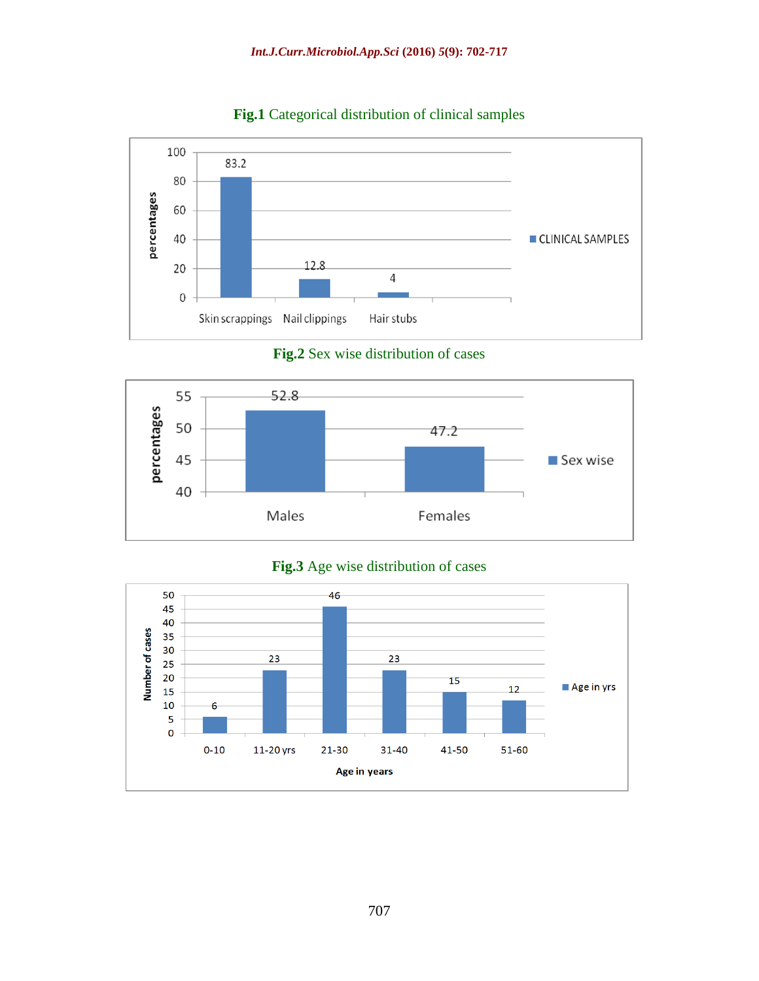

**Fig.1** Categorical distribution of clinical samples

**Fig.2** Sex wise distribution of cases





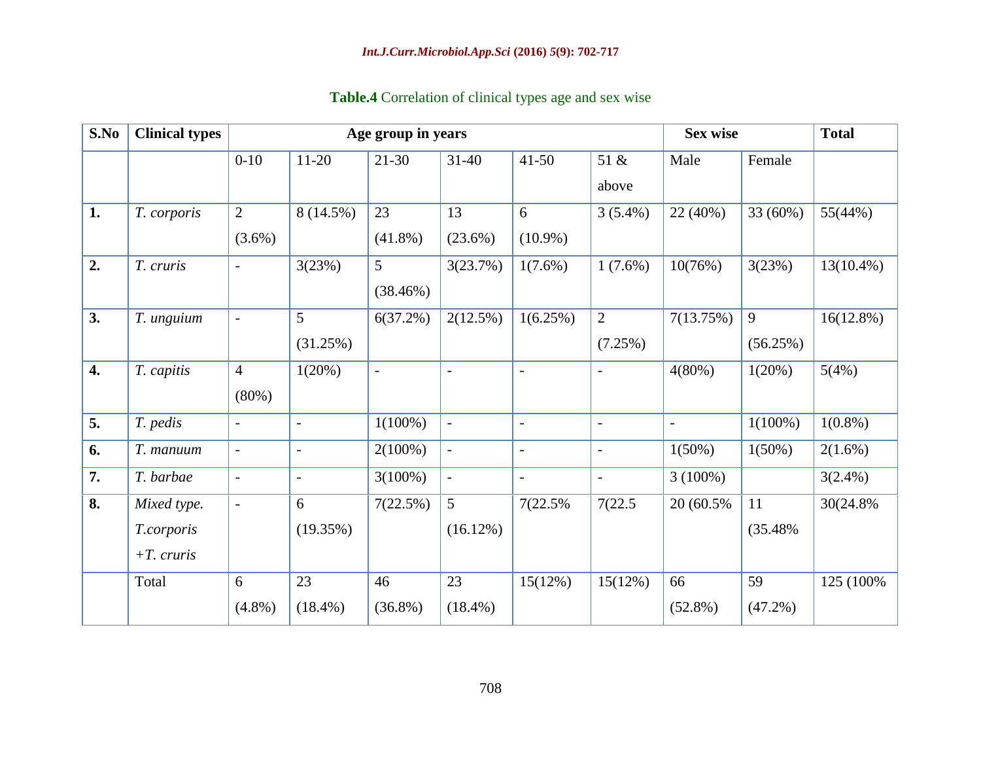| S.No | <b>Clinical types</b> | Age group in years       |                          |                          |                          |                          |                          |                          | <b>Sex wise</b> |              |
|------|-----------------------|--------------------------|--------------------------|--------------------------|--------------------------|--------------------------|--------------------------|--------------------------|-----------------|--------------|
|      |                       | $0 - 10$                 | $11-20$                  | $21 - 30$                | $31-40$                  | $41 - 50$                | 51 &                     | Male                     | Female          |              |
|      |                       |                          |                          |                          |                          |                          | above                    |                          |                 |              |
| 1.   | T. corporis           | $\overline{2}$           | 8 (14.5%)                | 23                       | 13                       | 6                        | $3(5.4\%)$               | 22 (40%)                 | 33 (60%)        | 55(44%)      |
|      |                       | $(3.6\%)$                |                          | $(41.8\%)$               | $(23.6\%)$               | $(10.9\%)$               |                          |                          |                 |              |
| 2.   | T. cruris             |                          | 3(23%)                   | 5                        | 3(23.7%)                 | $1(7.6\%)$               | $1(7.6\%)$               | 10(76%)                  | 3(23%)          | $13(10.4\%)$ |
|      |                       |                          |                          | (38.46%)                 |                          |                          |                          |                          |                 |              |
| 3.   | T. unguium            | $\overline{a}$           | 5                        | 6(37.2%)                 | 2(12.5%)                 | 1(6.25%)                 | $\overline{2}$           | 7(13.75%)                | 9               | $16(12.8\%)$ |
|      |                       |                          | (31.25%)                 |                          |                          |                          | (7.25%)                  |                          | (56.25%)        |              |
| 4.   | T. capitis            | $\overline{4}$           | 1(20%)                   | $\overline{\phantom{0}}$ |                          | $\overline{\phantom{0}}$ |                          | 4(80%)                   | 1(20%)          | 5(4%)        |
|      |                       | $(80\%)$                 |                          |                          |                          |                          |                          |                          |                 |              |
| 5.   | T. pedis              | $\overline{\phantom{0}}$ | $\overline{\phantom{a}}$ | $1(100\%)$               | $\overline{\phantom{a}}$ | $\overline{\phantom{a}}$ |                          | $\overline{\phantom{0}}$ | $1(100\%)$      | $1(0.8\%)$   |
| 6.   | T. manuum             | $\overline{\phantom{0}}$ | $\overline{\phantom{a}}$ | $2(100\%)$               | $\overline{\phantom{a}}$ | $\overline{\phantom{a}}$ |                          | $1(50\%)$                | $1(50\%)$       | $2(1.6\%)$   |
| 7.   | T. barbae             | $\qquad \qquad -$        | $\overline{\phantom{a}}$ | $3(100\%)$               | $\overline{a}$           | $\overline{\phantom{a}}$ | $\overline{\phantom{a}}$ | $3(100\%)$               |                 | $3(2.4\%)$   |
| 8.   | Mixed type.           | $\overline{\phantom{0}}$ | 6                        | 7(22.5%)                 | 5                        | 7(22.5%)                 | 7(22.5)                  | 20 (60.5%)               | 11              | 30(24.8%)    |
|      | T.corporis            |                          | (19.35%)                 |                          | $(16.12\%)$              |                          |                          |                          | (35.48%         |              |
|      | $+T$ . cruris         |                          |                          |                          |                          |                          |                          |                          |                 |              |
|      | Total                 | 6                        | 23                       | 46                       | 23                       | 15(12%)                  | 15(12%)                  | 66                       | 59              | 125 (100%)   |
|      |                       | $(4.8\%)$                | $(18.4\%)$               | $(36.8\%)$               | $(18.4\%)$               |                          |                          | $(52.8\%)$               | (47.2%)         |              |

# **Table.4** Correlation of clinical types age and sex wise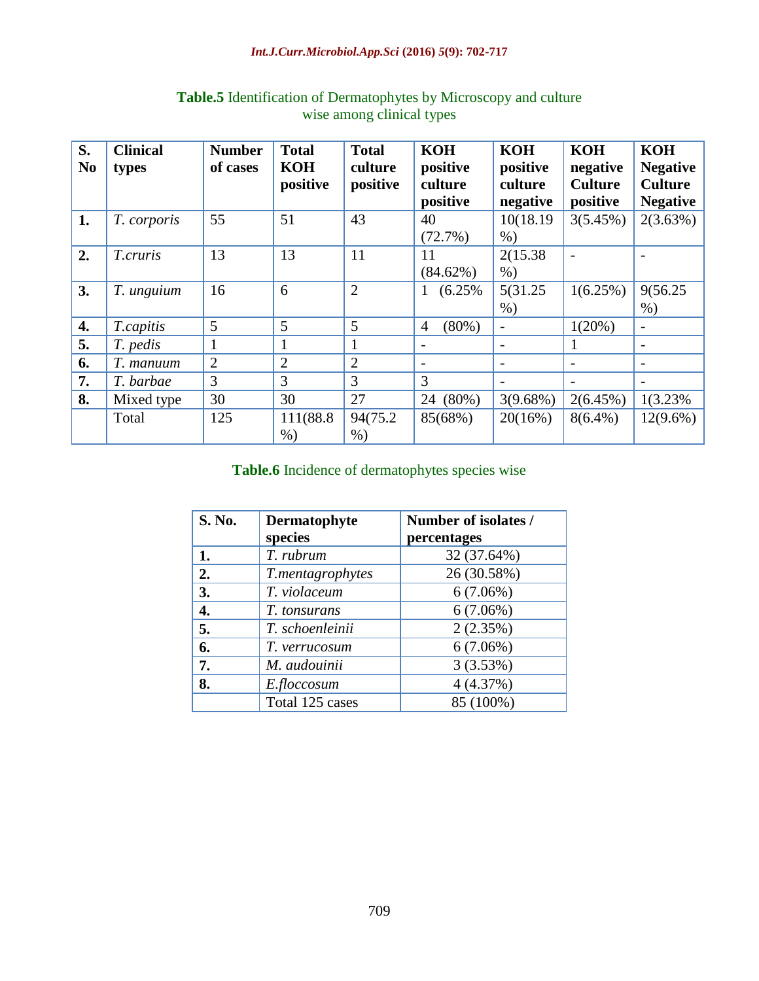#### *Int.J.Curr.Microbiol.App.Sci* **(2016)** *5***(9): 702-717**

| S.             | <b>Clinical</b> | <b>Number</b>  | <b>Total</b>           | <b>Total</b>        | <b>KOH</b>                 | <b>KOH</b>          | <b>KOH</b>                 | <b>KOH</b>                        |
|----------------|-----------------|----------------|------------------------|---------------------|----------------------------|---------------------|----------------------------|-----------------------------------|
| N <sub>0</sub> | types           | of cases       | <b>KOH</b><br>positive | culture<br>positive | positive<br>culture        | positive<br>culture | negative<br><b>Culture</b> | <b>Negative</b><br><b>Culture</b> |
|                |                 |                |                        |                     | positive                   | negative            | positive                   | <b>Negative</b>                   |
| 1.             | T. corporis     | 55             | 51                     | 43                  | 40                         | 10(18.19)           | 3(5.45%)                   | 2(3.63%)                          |
|                |                 |                |                        |                     | (72.7%)                    | $\%$ )              |                            |                                   |
| 2.             | T.cruris        | 13             | 13                     | 11                  | 11                         | 2(15.38)            |                            |                                   |
|                |                 |                |                        |                     | $(84.62\%)$                | $%$ )               |                            |                                   |
| 3.             | T. unguium      | 16             | 6                      | $\overline{2}$      | (6.25%<br>$\mathbf{1}$     | 5(31.25)            | 1(6.25%)                   | 9(56.25)                          |
|                |                 |                |                        |                     |                            | $%$ )               |                            | $%$ )                             |
| 4.             | T.capitis       | 5              | 5                      | 5                   | $(80\%)$<br>$\overline{4}$ |                     | $1(20\%)$                  | $\overline{\phantom{a}}$          |
| 5.             | T. pedis        |                |                        | 1                   | $\overline{\phantom{a}}$   |                     |                            | $\overline{\phantom{a}}$          |
| 6.             | T. manuum       | $\overline{2}$ | $\overline{2}$         | $\overline{2}$      |                            |                     |                            |                                   |
| 7.             | T. barbae       | 3              | 3                      | 3                   | 3                          |                     |                            |                                   |
| 8.             | Mixed type      | 30             | 30                     | 27                  | 24 (80%)                   | $3(9.68\%)$         | $2(6.45\%)$                | 1(3.23%)                          |
|                | Total           | 125            | 111(88.8               | 94(75.2)            | 85(68%)                    | 20(16%)             | $8(6.4\%)$                 | $12(9.6\%)$                       |
|                |                 |                | $%$ )                  | $%$ )               |                            |                     |                            |                                   |

# **Table.5** Identification of Dermatophytes by Microscopy and culture wise among clinical types

**Table.6** Incidence of dermatophytes species wise

| S. No. | Dermatophyte     | Number of isolates / |
|--------|------------------|----------------------|
|        | species          | percentages          |
| 1.     | T. rubrum        | 32 (37.64%)          |
| 2.     | T.mentagrophytes | 26 (30.58%)          |
| 3.     | T. violaceum     | $6(7.06\%)$          |
| 4.     | T. tonsurans     | $6(7.06\%)$          |
| 5.     | T. schoenleinii  | 2(2.35%)             |
| 6.     | T. verrucosum    | $6(7.06\%)$          |
| 7.     | M. audouinii     | 3(3.53%)             |
| 8.     | E.floccosum      | 4(4.37%)             |
|        | Total 125 cases  | 85 (100%)            |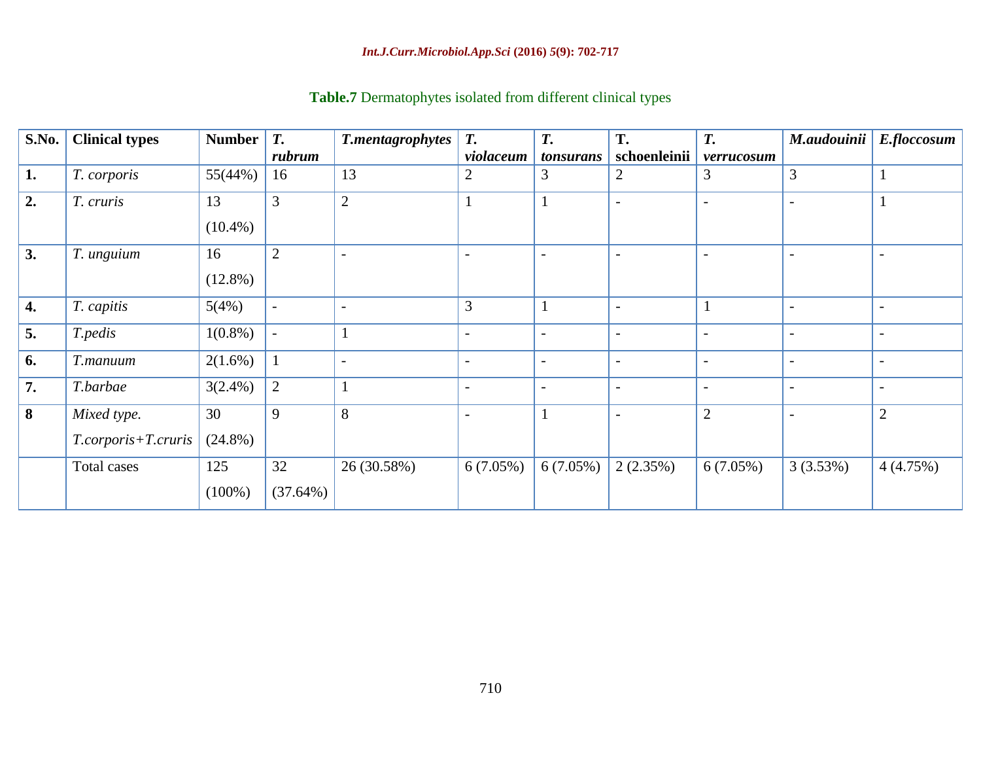| S.No. | <b>Clinical types</b>              | <b>Number</b>    | <b>T.</b><br>rubrum | <b>T.mentagrophytes</b>  | T.<br>violaceum          | T.<br>tonsurans          | T.<br>schoenleinii       | T.<br>verrucosum         | M.audouinii              | E.floccosum              |
|-------|------------------------------------|------------------|---------------------|--------------------------|--------------------------|--------------------------|--------------------------|--------------------------|--------------------------|--------------------------|
| 1.    | T. corporis                        | 55(44%)          | 16                  | 13                       | 2                        | 3                        | 2                        | 3                        | 3                        |                          |
| 2.    | T. cruris                          | 13<br>$(10.4\%)$ | 3                   | $\overline{2}$           | 1                        | 1                        |                          |                          | $\overline{\phantom{0}}$ |                          |
| 3.    | T. unguium                         | 16<br>$(12.8\%)$ | $\overline{2}$      |                          |                          |                          |                          |                          |                          |                          |
| 4.    | T. capitis                         | 5(4%)            |                     | $\overline{\phantom{a}}$ | 3                        | 1                        | $\overline{\phantom{a}}$ | $\mathbf{1}$             | $\overline{\phantom{a}}$ | $\overline{\phantom{a}}$ |
| 5.    | T.pedis                            | $1(0.8\%)$       |                     |                          |                          |                          |                          | $\overline{\phantom{a}}$ |                          | $\overline{\phantom{a}}$ |
| 6.    | T.manuum                           | $2(1.6\%)$       |                     | $\overline{\phantom{a}}$ | $\overline{\phantom{a}}$ | $\overline{\phantom{a}}$ | $\overline{\phantom{a}}$ | $\overline{\phantom{a}}$ | $\overline{\phantom{a}}$ | $\overline{\phantom{a}}$ |
| 7.    | T.barbae                           | $3(2.4\%)$       | $\overline{2}$      |                          | $\overline{\phantom{a}}$ | $\overline{\phantom{a}}$ | $\overline{\phantom{a}}$ | $\overline{\phantom{a}}$ | $\overline{\phantom{a}}$ | $\overline{\phantom{a}}$ |
| 8     | Mixed type.<br>T.corporis+T.cruris | 30<br>$(24.8\%)$ | 9                   | 8                        | $\overline{a}$           | $\mathbf{1}$             | $\overline{\phantom{a}}$ | $\overline{2}$           | $\overline{\phantom{a}}$ | $\overline{2}$           |
|       | Total cases                        | 125<br>$(100\%)$ | 32<br>(37.64%)      | 26 (30.58%)              | 6(7.05%)                 | $6(7.05\%)$              | 2(2.35%)                 | $6(7.05\%)$              | 3(3.53%)                 | 4(4.75%)                 |

# **Table.7** Dermatophytes isolated from different clinical types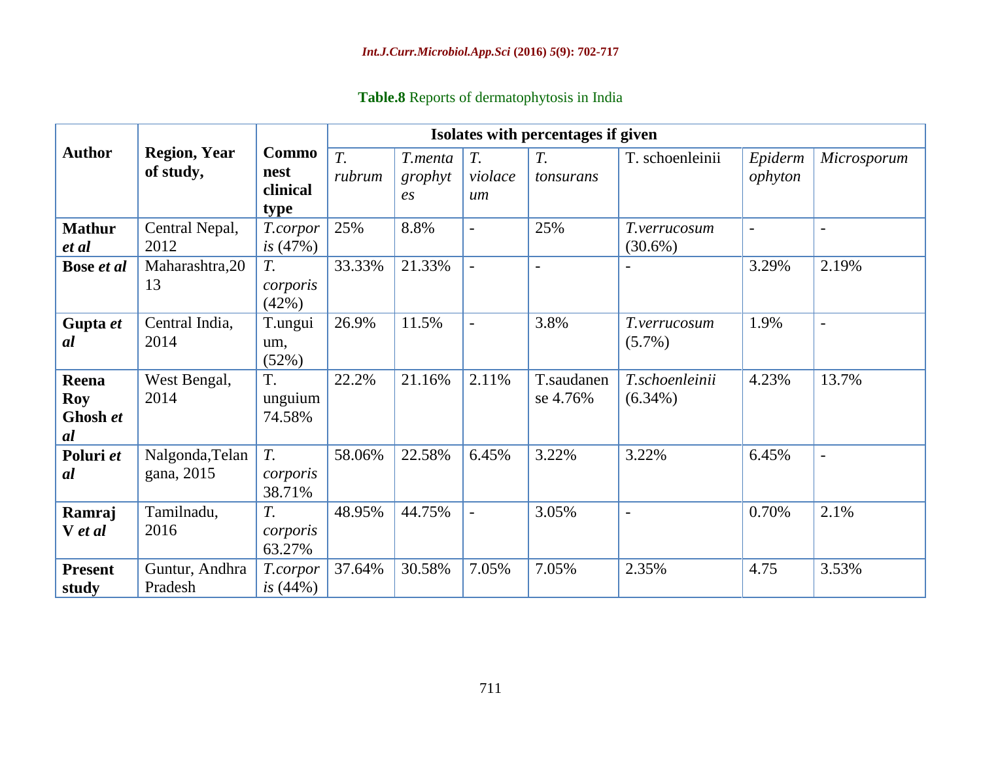|  |  | Table.8 Reports of dermatophytosis in India |  |  |
|--|--|---------------------------------------------|--|--|
|  |  |                                             |  |  |

|                                              | Isolates with percentages if given |                                   |                            |                                        |                          |                           |                              |                    |                |
|----------------------------------------------|------------------------------------|-----------------------------------|----------------------------|----------------------------------------|--------------------------|---------------------------|------------------------------|--------------------|----------------|
| <b>Author</b>                                | <b>Region, Year</b><br>of study,   | Commo<br>nest<br>clinical<br>type | $\overline{T}$ .<br>rubrum | T.menta<br>grophyt<br>$\mathfrak{e}_s$ | T.<br>violace<br>$\mu$ m | $T_{\rm{L}}$<br>tonsurans | T. schoenleinii              | Epiderm<br>ophyton | Microsporum    |
| <b>Mathur</b><br>et al                       | Central Nepal,<br>2012             | T.corpor<br>is (47%)              | 25%                        | 8.8%                                   | $\blacksquare$           | 25%                       | T.verrucosum<br>$(30.6\%)$   | $\blacksquare$     | $\blacksquare$ |
| Bose et al                                   | Maharashtra, 20<br>13              | T.<br>corporis<br>(42%)           | 33.33%                     | 21.33%                                 | $\blacksquare$           | $\overline{a}$            |                              | 3.29%              | 2.19%          |
| Gupta et<br><i>al</i>                        | Central India,<br>2014             | T.ungui<br>um,<br>(52%)           | 26.9%                      | 11.5%                                  | $\blacksquare$           | 3.8%                      | T.verrucosum<br>$(5.7\%)$    | 1.9%               | $\blacksquare$ |
| Reena<br><b>Roy</b><br>Ghosh et<br><i>al</i> | West Bengal,<br>2014               | T.<br>unguium<br>74.58%           | 22.2%                      | 21.16%                                 | 2.11%                    | T.saudanen<br>se 4.76%    | T.schoenleinii<br>$(6.34\%)$ | 4.23%              | 13.7%          |
| Poluri et<br>al                              | Nalgonda, Telan<br>gana, 2015      | $T_{\cdot}$<br>corporis<br>38.71% | 58.06%                     | 22.58%                                 | 6.45%                    | 3.22%                     | 3.22%                        | 6.45%              | $\blacksquare$ |
| Ramraj<br>V et al                            | Tamilnadu,<br>2016                 | $T_{\cdot}$<br>corporis<br>63.27% | 48.95%                     | 44.75%                                 | $\blacksquare$           | 3.05%                     | $\blacksquare$               | 0.70%              | 2.1%           |
| <b>Present</b><br>study                      | Guntur, Andhra<br>Pradesh          | T.corpor<br>is $(44%)$            | 37.64%                     | 30.58%                                 | 7.05%                    | 7.05%                     | 2.35%                        | 4.75               | 3.53%          |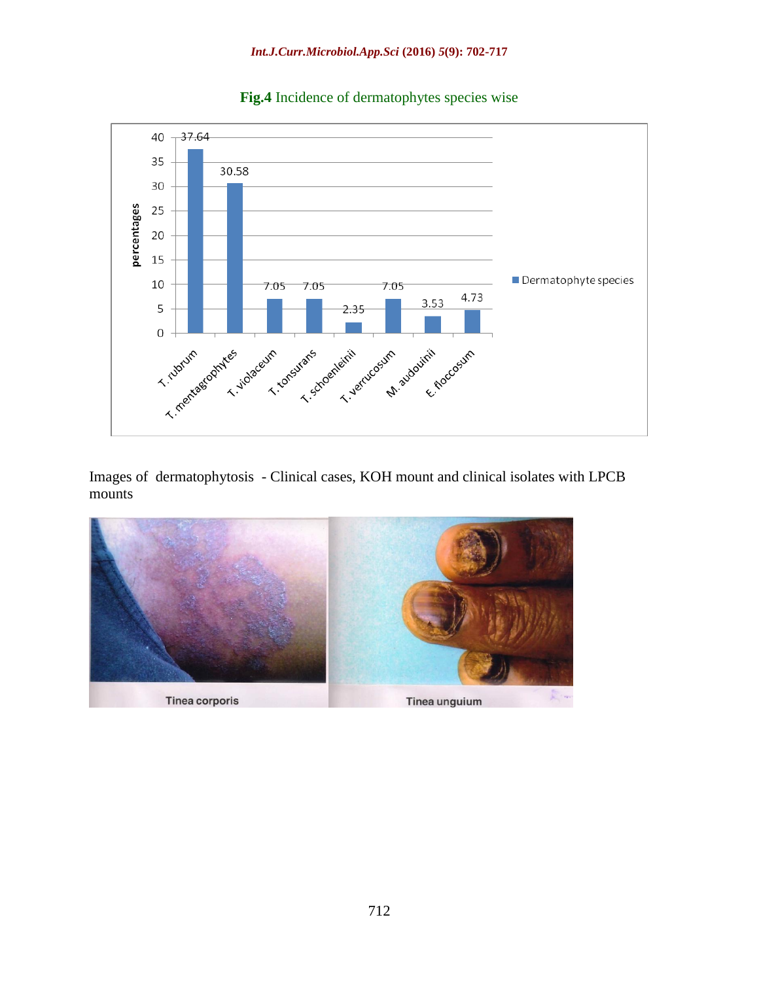

**Fig.4** Incidence of dermatophytes species wise

Images of dermatophytosis - Clinical cases, KOH mount and clinical isolates with LPCB mounts

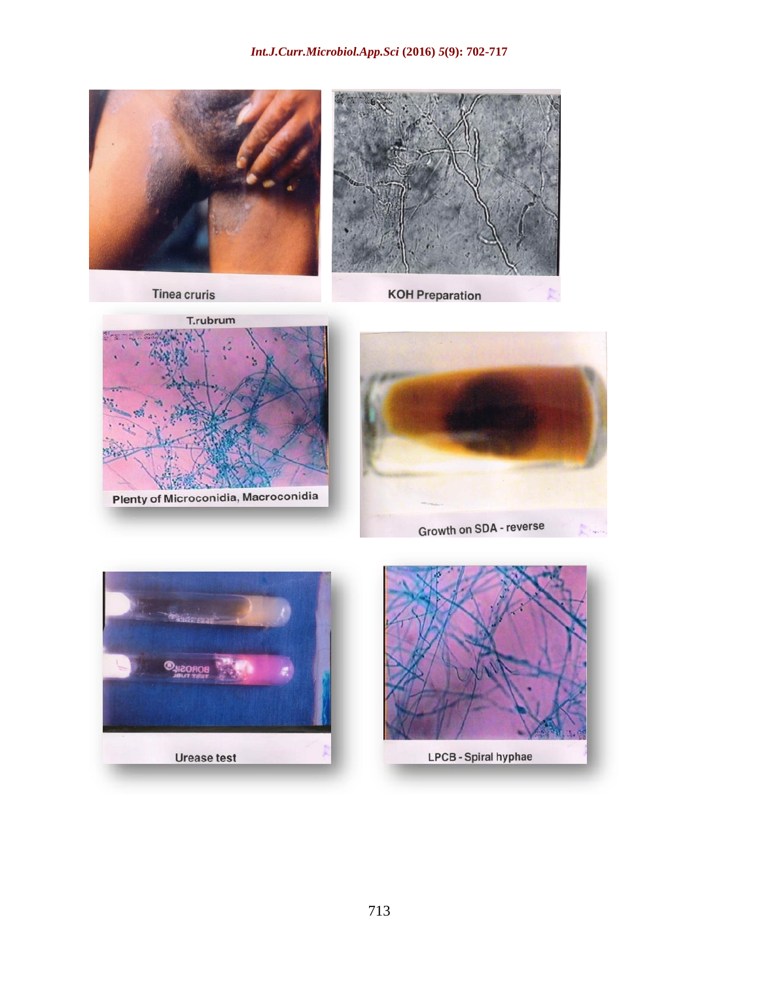

**Tinea cruris** 

**KOH Preparation** 







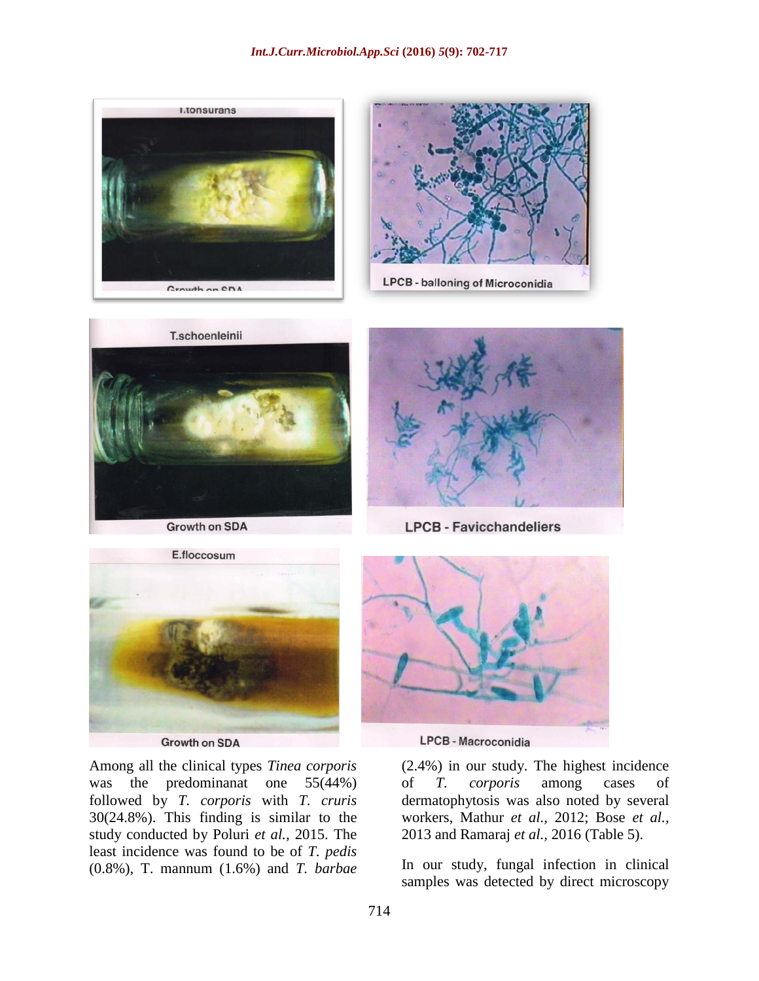





**Growth on SDA** 



**LPCB - Favicchandeliers** 



**Growth on SDA** 

Among all the clinical types *Tinea corporis* was the predominanat one 55(44%) followed by *T. corporis* with *T. cruris* 30(24.8%). This finding is similar to the study conducted by Poluri *et al.,* 2015. The least incidence was found to be of *T. pedis* (0.8%), T. mannum (1.6%) and *T. barbae*



**LPCB - Macroconidia** 

(2.4%) in our study. The highest incidence of *T. corporis* among cases of dermatophytosis was also noted by several workers, Mathur *et al.,* 2012; Bose *et al.,* 2013 and Ramaraj *et al.,* 2016 (Table 5).

In our study, fungal infection in clinical samples was detected by direct microscopy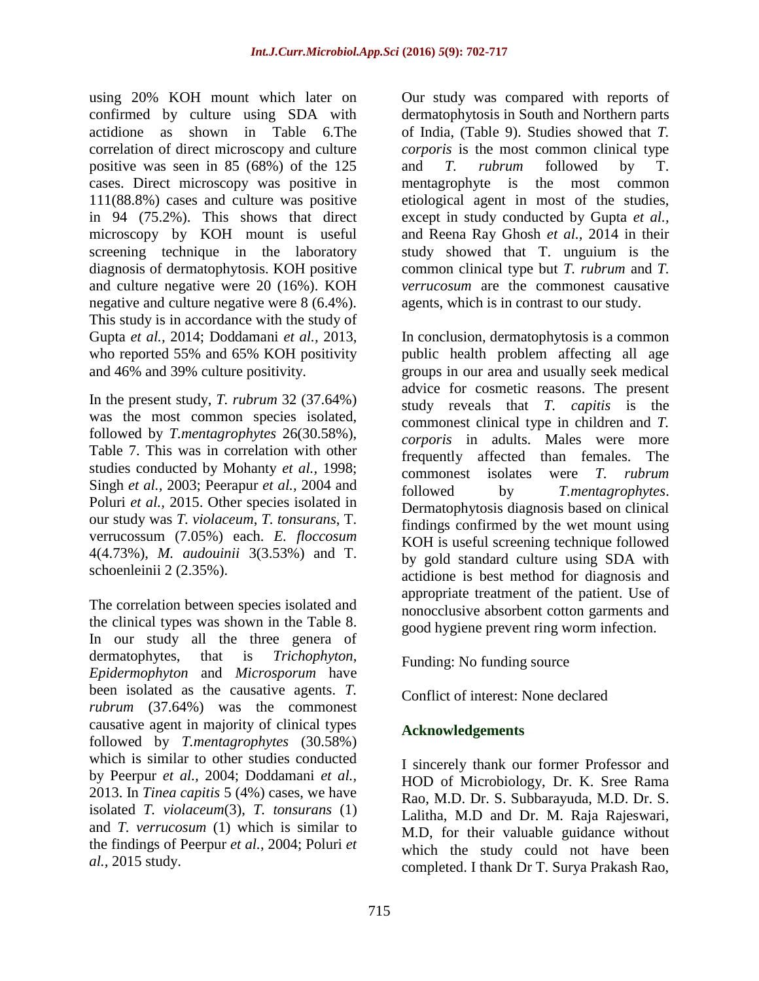using 20% KOH mount which later on confirmed by culture using SDA with actidione as shown in Table 6.The correlation of direct microscopy and culture positive was seen in 85 (68%) of the 125 cases. Direct microscopy was positive in 111(88.8%) cases and culture was positive in 94 (75.2%). This shows that direct microscopy by KOH mount is useful screening technique in the laboratory diagnosis of dermatophytosis. KOH positive and culture negative were 20 (16%). KOH negative and culture negative were 8 (6.4%). This study is in accordance with the study of Gupta *et al.,* 2014; Doddamani *et al.,* 2013, who reported 55% and 65% KOH positivity and 46% and 39% culture positivity.

In the present study, *T. rubrum* 32 (37.64%) was the most common species isolated, followed by *T.mentagrophytes* 26(30.58%), Table 7. This was in correlation with other studies conducted by Mohanty *et al.,* 1998; Singh *et al.,* 2003; Peerapur *et al.,* 2004 and Poluri *et al.,* 2015. Other species isolated in our study was *T. violaceum*, *T. tonsurans*, T. verrucossum (7.05%) each. *E. floccosum* 4(4.73%), *M. audouinii* 3(3.53%) and T. schoenleinii 2 (2.35%).

The correlation between species isolated and the clinical types was shown in the Table 8. In our study all the three genera of dermatophytes, that is *Trichophyton*, *Epidermophyton* and *Microsporum* have been isolated as the causative agents. *T. rubrum* (37.64%) was the commonest causative agent in majority of clinical types followed by *T.mentagrophytes* (30.58%) which is similar to other studies conducted by Peerpur *et al.,* 2004; Doddamani *et al.,* 2013. In *Tinea capitis* 5 (4%) cases, we have isolated *T. violaceum*(3), *T. tonsurans* (1) and *T. verrucosum* (1) which is similar to the findings of Peerpur *et al.*, 2004; Poluri *et al.,* 2015 study.

Our study was compared with reports of dermatophytosis in South and Northern parts of India, (Table 9). Studies showed that *T. corporis* is the most common clinical type and *T. rubrum* followed by T. mentagrophyte is the most common etiological agent in most of the studies, except in study conducted by Gupta *et al.,* and Reena Ray Ghosh *et al.,* 2014 in their study showed that T. unguium is the common clinical type but *T. rubrum* and *T. verrucosum* are the commonest causative agents, which is in contrast to our study.

In conclusion, dermatophytosis is a common public health problem affecting all age groups in our area and usually seek medical advice for cosmetic reasons. The present study reveals that *T. capitis* is the commonest clinical type in children and *T. corporis* in adults. Males were more frequently affected than females. The commonest isolates were *T. rubrum* followed by *T.mentagrophytes*. Dermatophytosis diagnosis based on clinical findings confirmed by the wet mount using KOH is useful screening technique followed by gold standard culture using SDA with actidione is best method for diagnosis and appropriate treatment of the patient. Use of nonocclusive absorbent cotton garments and good hygiene prevent ring worm infection.

Funding: No funding source

Conflict of interest: None declared

# **Acknowledgements**

I sincerely thank our former Professor and HOD of Microbiology, Dr. K. Sree Rama Rao, M.D. Dr. S. Subbarayuda, M.D. Dr. S. Lalitha, M.D and Dr. M. Raja Rajeswari, M.D, for their valuable guidance without which the study could not have been completed. I thank Dr T. Surya Prakash Rao,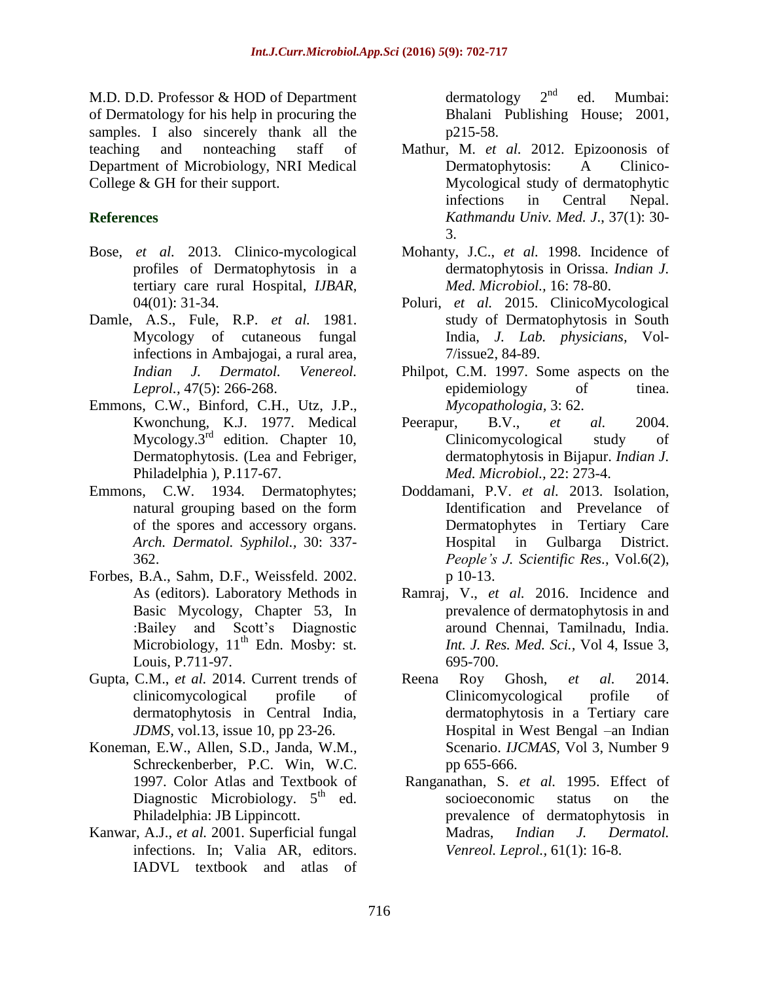M.D. D.D. Professor & HOD of Department of Dermatology for his help in procuring the samples. I also sincerely thank all the teaching and nonteaching staff of Department of Microbiology, NRI Medical College & GH for their support.

## **References**

- Bose, *et al.* 2013. Clinico-mycological profiles of Dermatophytosis in a tertiary care rural Hospital, *IJBAR,*  04(01): 31-34.
- Damle, A.S., Fule, R.P. *et al.* 1981. Mycology of cutaneous fungal infections in Ambajogai, a rural area, *Indian J. Dermatol. Venereol. Leprol.,* 47(5): 266-268.
- Emmons, C.W., Binford, C.H., Utz, J.P., Kwonchung, K.J. 1977. Medical Mycology. $3^{rd}$  edition. Chapter 10, Dermatophytosis. (Lea and Febriger, Philadelphia ), P.117-67.
- Emmons, C.W. 1934. Dermatophytes; natural grouping based on the form of the spores and accessory organs. *Arch. Dermatol. Syphilol.,* 30: 337- 362.
- Forbes, B.A., Sahm, D.F., Weissfeld. 2002. As (editors). Laboratory Methods in Basic Mycology, Chapter 53, In :Bailey and Scott's Diagnostic Microbiology,  $11<sup>th</sup>$  Edn. Mosby: st. Louis, P.711-97.
- Gupta, C.M., *et al.* 2014. Current trends of clinicomycological profile of dermatophytosis in Central India, *JDMS,* vol.13, issue 10, pp 23-26.
- Koneman, E.W., Allen, S.D., Janda, W.M., Schreckenberber, P.C. Win, W.C. 1997. Color Atlas and Textbook of Diagnostic Microbiology.  $5<sup>th</sup>$  ed. Philadelphia: JB Lippincott.
- Kanwar, A.J., *et al.* 2001. Superficial fungal infections. In; Valia AR, editors. IADVL textbook and atlas of

dermatology  $2^{nd}$  ed. Mumbai: Bhalani Publishing House; 2001, p215-58.

- Mathur, M. *et al.* 2012. Epizoonosis of Dermatophytosis: A Clinico-Mycological study of dermatophytic infections in Central Nepal. *Kathmandu Univ. Med. J*., 37(1): 30- 3.
- Mohanty, J.C., *et al.* 1998. Incidence of dermatophytosis in Orissa. *Indian J. Med. Microbiol.,* 16: 78-80.
- Poluri, *et al.* 2015. ClinicoMycological study of Dermatophytosis in South India, *J. Lab. physicians,* Vol-7/issue2, 84-89.
- Philpot, C.M. 1997. Some aspects on the epidemiology of tinea. *Mycopathologia,* 3: 62.
- Peerapur, B.V., *et al.* 2004. Clinicomycological study of dermatophytosis in Bijapur. *Indian J. Med. Microbiol.,* 22: 273-4.
- Doddamani, P.V. *et al.* 2013. Isolation, Identification and Prevelance of Dermatophytes in Tertiary Care Hospital in Gulbarga District. *People's J. Scientific Res.,* Vol.6(2), p 10-13.
- Ramraj, V., *et al.* 2016. Incidence and prevalence of dermatophytosis in and around Chennai, Tamilnadu, India. *Int. J. Res. Med. Sci.,* Vol 4, Issue 3, 695-700.
- Reena Roy Ghosh, *et al.* 2014. Clinicomycological profile of dermatophytosis in a Tertiary care Hospital in West Bengal –an Indian Scenario. *IJCMAS,* Vol 3, Number 9 pp 655-666.
- Ranganathan, S. *et al.* 1995. Effect of socioeconomic status on the prevalence of dermatophytosis in Madras, *Indian J. Dermatol. Venreol. Leprol.,* 61(1): 16-8.